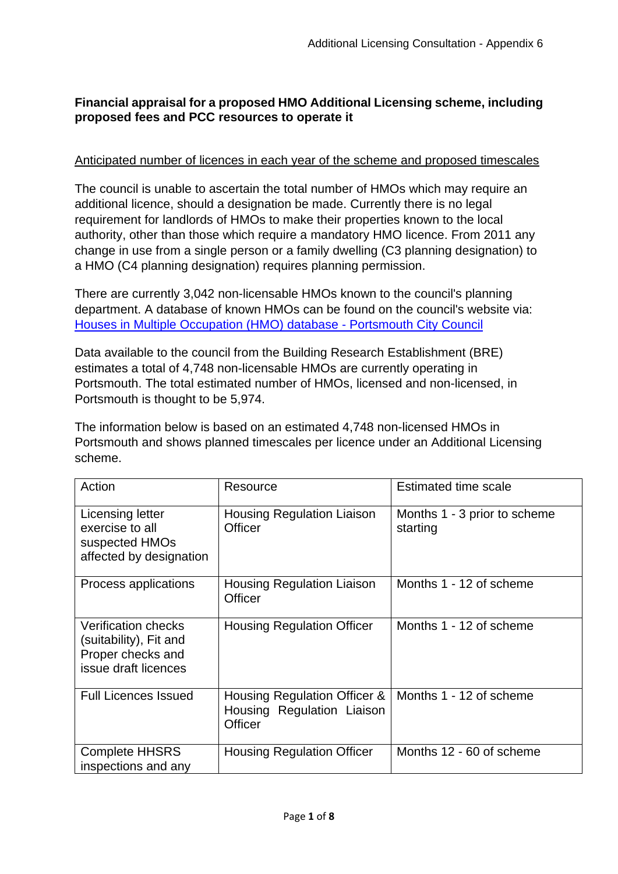# **Financial appraisal for a proposed HMO Additional Licensing scheme, including proposed fees and PCC resources to operate it**

## Anticipated number of licences in each year of the scheme and proposed timescales

The council is unable to ascertain the total number of HMOs which may require an additional licence, should a designation be made. Currently there is no legal requirement for landlords of HMOs to make their properties known to the local authority, other than those which require a mandatory HMO licence. From 2011 any change in use from a single person or a family dwelling (C3 planning designation) to a HMO (C4 planning designation) requires planning permission.

There are currently 3,042 non-licensable HMOs known to the council's planning department. A database of known HMOs can be found on the council's website via: [Houses in Multiple Occupation \(HMO\) database -](https://www.portsmouth.gov.uk/services/development-and-planning/planning-applications/planning-houses-in-multiple-occupation/houses-in-multiple-occupation-hmo-database/) Portsmouth City Council

Data available to the council from the Building Research Establishment (BRE) estimates a total of 4,748 non-licensable HMOs are currently operating in Portsmouth. The total estimated number of HMOs, licensed and non-licensed, in Portsmouth is thought to be 5,974.

The information below is based on an estimated 4,748 non-licensed HMOs in Portsmouth and shows planned timescales per licence under an Additional Licensing scheme.

| Action                                                                                            | Resource                                                                     | <b>Estimated time scale</b>              |
|---------------------------------------------------------------------------------------------------|------------------------------------------------------------------------------|------------------------------------------|
| <b>Licensing letter</b><br>exercise to all<br>suspected HMOs<br>affected by designation           | <b>Housing Regulation Liaison</b><br>Officer                                 | Months 1 - 3 prior to scheme<br>starting |
| Process applications                                                                              | <b>Housing Regulation Liaison</b><br>Officer                                 | Months 1 - 12 of scheme                  |
| <b>Verification checks</b><br>(suitability), Fit and<br>Proper checks and<br>issue draft licences | <b>Housing Regulation Officer</b>                                            | Months 1 - 12 of scheme                  |
| <b>Full Licences Issued</b>                                                                       | Housing Regulation Officer &<br>Housing Regulation Liaison<br><b>Officer</b> | Months 1 - 12 of scheme                  |
| <b>Complete HHSRS</b><br>inspections and any                                                      | <b>Housing Regulation Officer</b>                                            | Months 12 - 60 of scheme                 |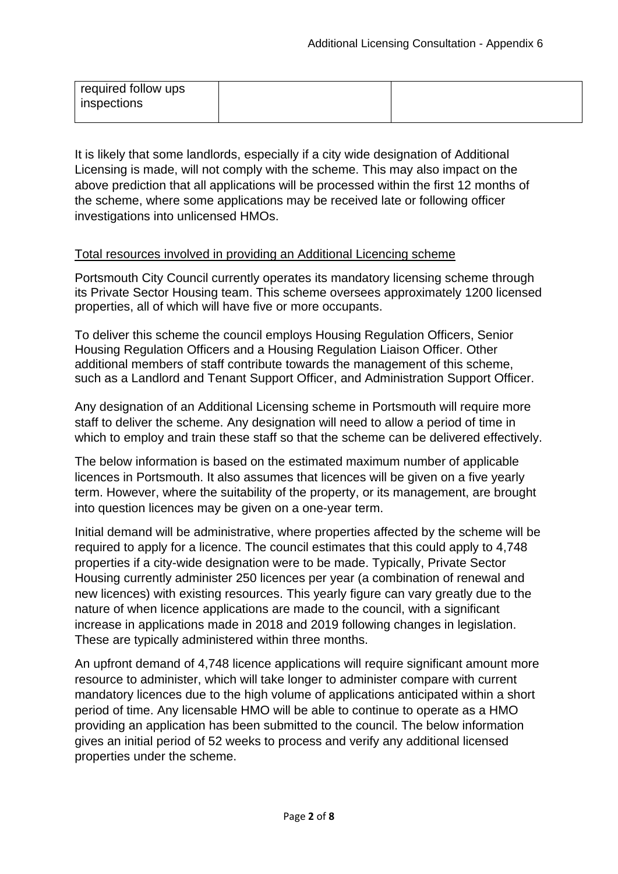| required follow ups |  |
|---------------------|--|
| inspections         |  |
|                     |  |

It is likely that some landlords, especially if a city wide designation of Additional Licensing is made, will not comply with the scheme. This may also impact on the above prediction that all applications will be processed within the first 12 months of the scheme, where some applications may be received late or following officer investigations into unlicensed HMOs.

## Total resources involved in providing an Additional Licencing scheme

Portsmouth City Council currently operates its mandatory licensing scheme through its Private Sector Housing team. This scheme oversees approximately 1200 licensed properties, all of which will have five or more occupants.

To deliver this scheme the council employs Housing Regulation Officers, Senior Housing Regulation Officers and a Housing Regulation Liaison Officer. Other additional members of staff contribute towards the management of this scheme, such as a Landlord and Tenant Support Officer, and Administration Support Officer.

Any designation of an Additional Licensing scheme in Portsmouth will require more staff to deliver the scheme. Any designation will need to allow a period of time in which to employ and train these staff so that the scheme can be delivered effectively.

The below information is based on the estimated maximum number of applicable licences in Portsmouth. It also assumes that licences will be given on a five yearly term. However, where the suitability of the property, or its management, are brought into question licences may be given on a one-year term.

Initial demand will be administrative, where properties affected by the scheme will be required to apply for a licence. The council estimates that this could apply to 4,748 properties if a city-wide designation were to be made. Typically, Private Sector Housing currently administer 250 licences per year (a combination of renewal and new licences) with existing resources. This yearly figure can vary greatly due to the nature of when licence applications are made to the council, with a significant increase in applications made in 2018 and 2019 following changes in legislation. These are typically administered within three months.

An upfront demand of 4,748 licence applications will require significant amount more resource to administer, which will take longer to administer compare with current mandatory licences due to the high volume of applications anticipated within a short period of time. Any licensable HMO will be able to continue to operate as a HMO providing an application has been submitted to the council. The below information gives an initial period of 52 weeks to process and verify any additional licensed properties under the scheme.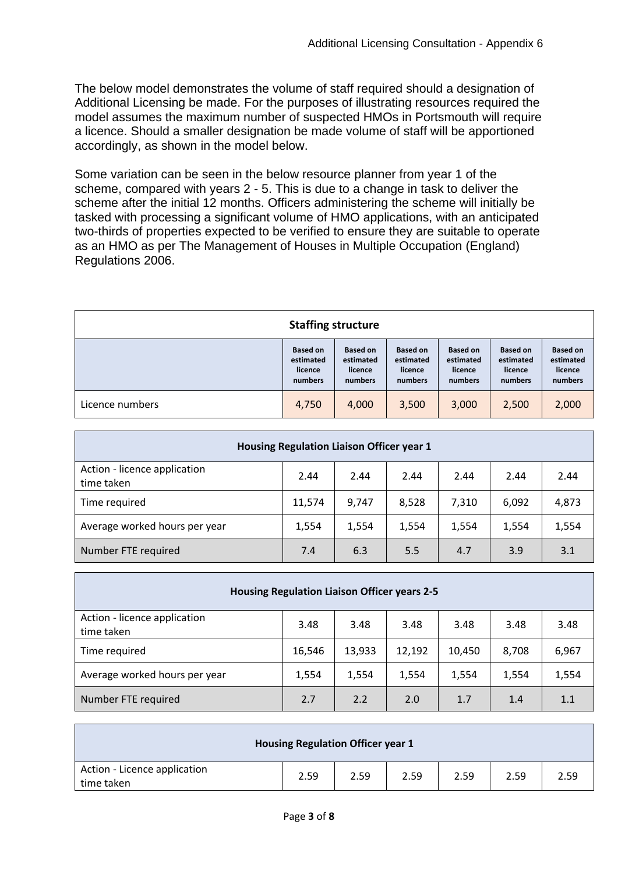The below model demonstrates the volume of staff required should a designation of Additional Licensing be made. For the purposes of illustrating resources required the model assumes the maximum number of suspected HMOs in Portsmouth will require a licence. Should a smaller designation be made volume of staff will be apportioned accordingly, as shown in the model below.

Some variation can be seen in the below resource planner from year 1 of the scheme, compared with years 2 - 5. This is due to a change in task to deliver the scheme after the initial 12 months. Officers administering the scheme will initially be tasked with processing a significant volume of HMO applications, with an anticipated two-thirds of properties expected to be verified to ensure they are suitable to operate as an HMO as per The Management of Houses in Multiple Occupation (England) Regulations 2006.

| <b>Staffing structure</b> |                                                    |                                                    |                                                    |                                                    |                                                    |                                                    |
|---------------------------|----------------------------------------------------|----------------------------------------------------|----------------------------------------------------|----------------------------------------------------|----------------------------------------------------|----------------------------------------------------|
|                           | <b>Based on</b><br>estimated<br>licence<br>numbers | <b>Based on</b><br>estimated<br>licence<br>numbers | <b>Based on</b><br>estimated<br>licence<br>numbers | <b>Based on</b><br>estimated<br>licence<br>numbers | <b>Based on</b><br>estimated<br>licence<br>numbers | <b>Based on</b><br>estimated<br>licence<br>numbers |
| Licence numbers           | 4,750                                              | 4,000                                              | 3,500                                              | 3,000                                              | 2,500                                              | 2,000                                              |

| Housing Regulation Liaison Officer year 1  |        |       |       |       |       |       |  |
|--------------------------------------------|--------|-------|-------|-------|-------|-------|--|
| Action - licence application<br>time taken | 2.44   | 2.44  | 2.44  | 2.44  | 2.44  | 2.44  |  |
| Time required                              | 11,574 | 9,747 | 8,528 | 7,310 | 6,092 | 4,873 |  |
| Average worked hours per year              | 1,554  | 1,554 | 1,554 | 1,554 | 1,554 | 1,554 |  |
| Number FTE required                        | 7.4    | 6.3   | 5.5   | 4.7   | 3.9   | 3.1   |  |

| <b>Housing Regulation Liaison Officer years 2-5</b> |        |        |        |        |       |       |  |
|-----------------------------------------------------|--------|--------|--------|--------|-------|-------|--|
| Action - licence application<br>time taken          | 3.48   | 3.48   | 3.48   | 3.48   | 3.48  | 3.48  |  |
| Time required                                       | 16,546 | 13,933 | 12,192 | 10,450 | 8,708 | 6,967 |  |
| Average worked hours per year                       | 1,554  | 1,554  | 1,554  | 1,554  | 1,554 | 1,554 |  |
| Number FTE required                                 | 2.7    | 2.2    | 2.0    | 1.7    | 1.4   | 1.1   |  |

|                                            | <b>Housing Regulation Officer year 1</b> |      |      |      |      |      |
|--------------------------------------------|------------------------------------------|------|------|------|------|------|
| Action - Licence application<br>time taken | 2.59                                     | 2.59 | 2.59 | 2.59 | 2.59 | 2.59 |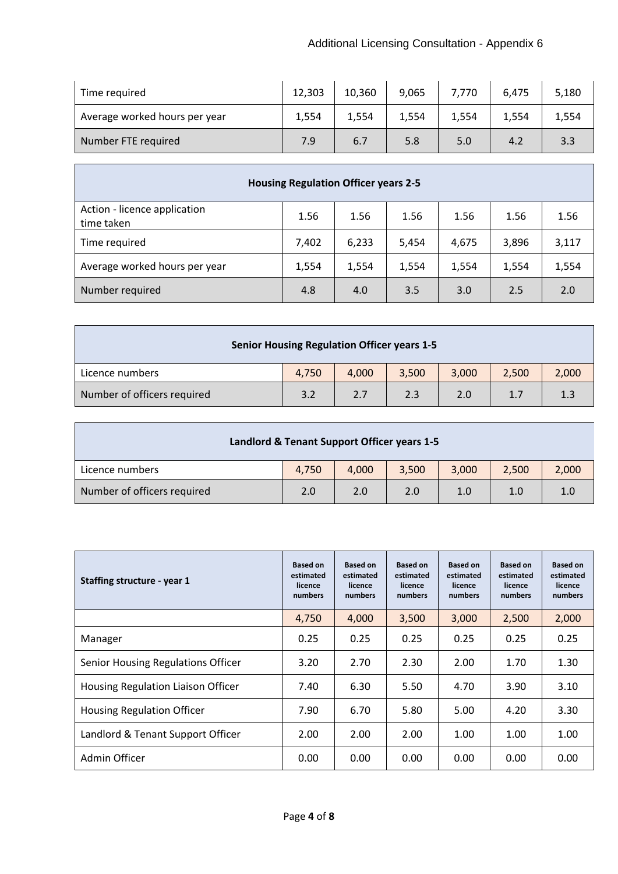| Time required                 | 12,303 | 10,360 | 9,065 | 7,770 | 6,475 | 5,180 |
|-------------------------------|--------|--------|-------|-------|-------|-------|
| Average worked hours per year | 1.554  | 1,554  | 1,554 | 1,554 | 1,554 | 1,554 |
| Number FTE required           | 7.9    | 6.7    | 5.8   | 5.0   | 4.2   | 3.3   |

| <b>Housing Regulation Officer years 2-5</b> |       |       |       |       |       |       |  |
|---------------------------------------------|-------|-------|-------|-------|-------|-------|--|
| Action - licence application<br>time taken  | 1.56  | 1.56  | 1.56  | 1.56  | 1.56  | 1.56  |  |
| Time required                               | 7,402 | 6,233 | 5,454 | 4,675 | 3,896 | 3,117 |  |
| Average worked hours per year               | 1,554 | 1,554 | 1,554 | 1,554 | 1,554 | 1,554 |  |
| Number required                             | 4.8   | 4.0   | 3.5   | 3.0   | 2.5   | 2.0   |  |

| <b>Senior Housing Regulation Officer years 1-5</b> |       |       |       |       |       |       |
|----------------------------------------------------|-------|-------|-------|-------|-------|-------|
| Licence numbers                                    | 4,750 | 4.000 | 3,500 | 3,000 | 2,500 | 2,000 |
| Number of officers required                        | 3.2   | 2.7   | 2.3   | 2.0   | 1.7   | 1.3   |

| Landlord & Tenant Support Officer years 1-5 |       |       |       |       |       |       |
|---------------------------------------------|-------|-------|-------|-------|-------|-------|
| Licence numbers                             | 4.750 | 4.000 | 3,500 | 3,000 | 2.500 | 2,000 |
| Number of officers required                 | 2.0   | 2.0   | 2.0   | 1.0   | 1.0   | 1.0   |

r

| Staffing structure - year 1        | <b>Based on</b><br>estimated<br>licence<br>numbers | <b>Based on</b><br>estimated<br>licence<br>numbers | <b>Based on</b><br>estimated<br>licence<br>numbers | <b>Based on</b><br>estimated<br>licence<br>numbers | <b>Based on</b><br>estimated<br>licence<br>numbers | <b>Based on</b><br>estimated<br>licence<br>numbers |
|------------------------------------|----------------------------------------------------|----------------------------------------------------|----------------------------------------------------|----------------------------------------------------|----------------------------------------------------|----------------------------------------------------|
|                                    | 4,750                                              | 4,000                                              | 3,500                                              | 3,000                                              | 2,500                                              | 2,000                                              |
| Manager                            | 0.25                                               | 0.25                                               | 0.25                                               | 0.25                                               | 0.25                                               | 0.25                                               |
| Senior Housing Regulations Officer | 3.20                                               | 2.70                                               | 2.30                                               | 2.00                                               | 1.70                                               | 1.30                                               |
| Housing Regulation Liaison Officer | 7.40                                               | 6.30                                               | 5.50                                               | 4.70                                               | 3.90                                               | 3.10                                               |
| <b>Housing Regulation Officer</b>  | 7.90                                               | 6.70                                               | 5.80                                               | 5.00                                               | 4.20                                               | 3.30                                               |
| Landlord & Tenant Support Officer  | 2.00                                               | 2.00                                               | 2.00                                               | 1.00                                               | 1.00                                               | 1.00                                               |
| Admin Officer                      | 0.00                                               | 0.00                                               | 0.00                                               | 0.00                                               | 0.00                                               | 0.00                                               |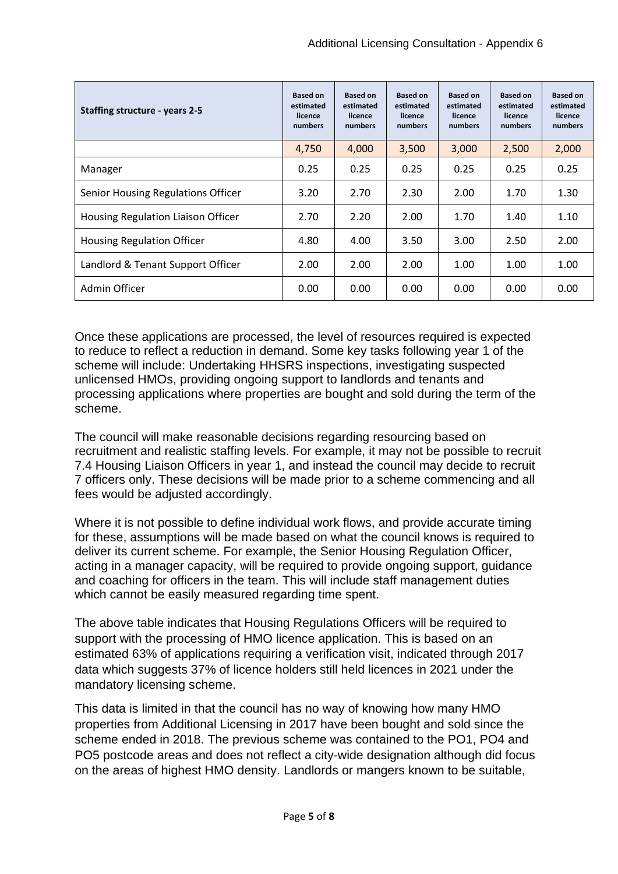| Staffing structure - years 2-5            | <b>Based on</b><br>estimated<br>licence<br>numbers | <b>Based on</b><br>estimated<br>licence<br>numbers | <b>Based on</b><br>estimated<br>licence<br>numbers | <b>Based on</b><br>estimated<br>licence<br>numbers | <b>Based on</b><br>estimated<br>licence<br>numbers | <b>Based on</b><br>estimated<br>licence<br>numbers |
|-------------------------------------------|----------------------------------------------------|----------------------------------------------------|----------------------------------------------------|----------------------------------------------------|----------------------------------------------------|----------------------------------------------------|
|                                           | 4,750                                              | 4,000                                              | 3,500                                              | 3,000                                              | 2,500                                              | 2,000                                              |
| Manager                                   | 0.25                                               | 0.25                                               | 0.25                                               | 0.25                                               | 0.25                                               | 0.25                                               |
| Senior Housing Regulations Officer        | 3.20                                               | 2.70                                               | 2.30                                               | 2.00                                               | 1.70                                               | 1.30                                               |
| <b>Housing Regulation Liaison Officer</b> | 2.70                                               | 2.20                                               | 2.00                                               | 1.70                                               | 1.40                                               | 1.10                                               |
| <b>Housing Regulation Officer</b>         | 4.80                                               | 4.00                                               | 3.50                                               | 3.00                                               | 2.50                                               | 2.00                                               |
| Landlord & Tenant Support Officer         | 2.00                                               | 2.00                                               | 2.00                                               | 1.00                                               | 1.00                                               | 1.00                                               |
| Admin Officer                             | 0.00                                               | 0.00                                               | 0.00                                               | 0.00                                               | 0.00                                               | 0.00                                               |

Once these applications are processed, the level of resources required is expected to reduce to reflect a reduction in demand. Some key tasks following year 1 of the scheme will include: Undertaking HHSRS inspections, investigating suspected unlicensed HMOs, providing ongoing support to landlords and tenants and processing applications where properties are bought and sold during the term of the scheme.

The council will make reasonable decisions regarding resourcing based on recruitment and realistic staffing levels. For example, it may not be possible to recruit 7.4 Housing Liaison Officers in year 1, and instead the council may decide to recruit 7 officers only. These decisions will be made prior to a scheme commencing and all fees would be adjusted accordingly.

Where it is not possible to define individual work flows, and provide accurate timing for these, assumptions will be made based on what the council knows is required to deliver its current scheme. For example, the Senior Housing Regulation Officer, acting in a manager capacity, will be required to provide ongoing support, guidance and coaching for officers in the team. This will include staff management duties which cannot be easily measured regarding time spent.

The above table indicates that Housing Regulations Officers will be required to support with the processing of HMO licence application. This is based on an estimated 63% of applications requiring a verification visit, indicated through 2017 data which suggests 37% of licence holders still held licences in 2021 under the mandatory licensing scheme.

This data is limited in that the council has no way of knowing how many HMO properties from Additional Licensing in 2017 have been bought and sold since the scheme ended in 2018. The previous scheme was contained to the PO1, PO4 and PO5 postcode areas and does not reflect a city-wide designation although did focus on the areas of highest HMO density. Landlords or mangers known to be suitable,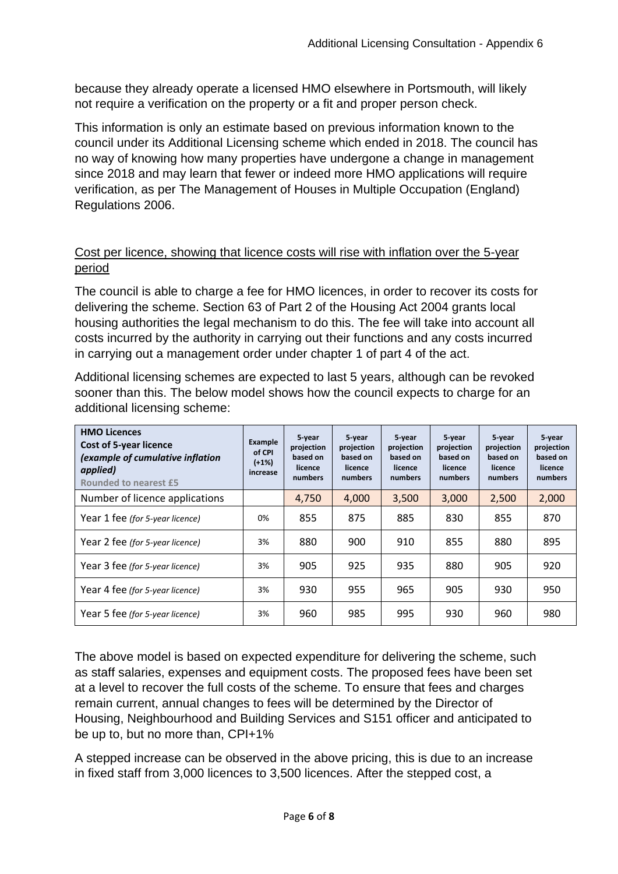because they already operate a licensed HMO elsewhere in Portsmouth, will likely not require a verification on the property or a fit and proper person check.

This information is only an estimate based on previous information known to the council under its Additional Licensing scheme which ended in 2018. The council has no way of knowing how many properties have undergone a change in management since 2018 and may learn that fewer or indeed more HMO applications will require verification, as per The Management of Houses in Multiple Occupation (England) Regulations 2006.

# Cost per licence, showing that licence costs will rise with inflation over the 5-year period

The council is able to charge a fee for HMO licences, in order to recover its costs for delivering the scheme. Section 63 of Part 2 of the Housing Act 2004 grants local housing authorities the legal mechanism to do this. The fee will take into account all costs incurred by the authority in carrying out their functions and any costs incurred in carrying out a management order under chapter 1 of part 4 of the act.

Additional licensing schemes are expected to last 5 years, although can be revoked sooner than this. The below model shows how the council expects to charge for an additional licensing scheme:

| <b>HMO Licences</b><br><b>Cost of 5-year licence</b><br>(example of cumulative inflation<br>applied)<br><b>Rounded to nearest £5</b> | <b>Example</b><br>of CPI<br>$(+1%)$<br>increase | 5-year<br>projection<br>based on<br>licence<br>numbers | 5-year<br>projection<br>based on<br>licence<br>numbers | 5 year<br>projection<br>based on<br>licence<br>numbers | 5 year<br>projection<br>based on<br>licence<br>numbers | 5 year<br>projection<br>based on<br>licence<br>numbers | 5-year<br>projection<br>based on<br>licence<br>numbers |
|--------------------------------------------------------------------------------------------------------------------------------------|-------------------------------------------------|--------------------------------------------------------|--------------------------------------------------------|--------------------------------------------------------|--------------------------------------------------------|--------------------------------------------------------|--------------------------------------------------------|
| Number of licence applications                                                                                                       |                                                 | 4,750                                                  | 4,000                                                  | 3,500                                                  | 3,000                                                  | 2,500                                                  | 2,000                                                  |
| Year 1 fee (for 5-year licence)                                                                                                      | 0%                                              | 855                                                    | 875                                                    | 885                                                    | 830                                                    | 855                                                    | 870                                                    |
| Year 2 fee (for 5-year licence)                                                                                                      | 3%                                              | 880                                                    | 900                                                    | 910                                                    | 855                                                    | 880                                                    | 895                                                    |
| Year 3 fee (for 5-year licence)                                                                                                      | 3%                                              | 905                                                    | 925                                                    | 935                                                    | 880                                                    | 905                                                    | 920                                                    |
| Year 4 fee (for 5-year licence)                                                                                                      | 3%                                              | 930                                                    | 955                                                    | 965                                                    | 905                                                    | 930                                                    | 950                                                    |
| Year 5 fee (for 5-year licence)                                                                                                      | 3%                                              | 960                                                    | 985                                                    | 995                                                    | 930                                                    | 960                                                    | 980                                                    |

The above model is based on expected expenditure for delivering the scheme, such as staff salaries, expenses and equipment costs. The proposed fees have been set at a level to recover the full costs of the scheme. To ensure that fees and charges remain current, annual changes to fees will be determined by the Director of Housing, Neighbourhood and Building Services and S151 officer and anticipated to be up to, but no more than, CPI+1%

A stepped increase can be observed in the above pricing, this is due to an increase in fixed staff from 3,000 licences to 3,500 licences. After the stepped cost, a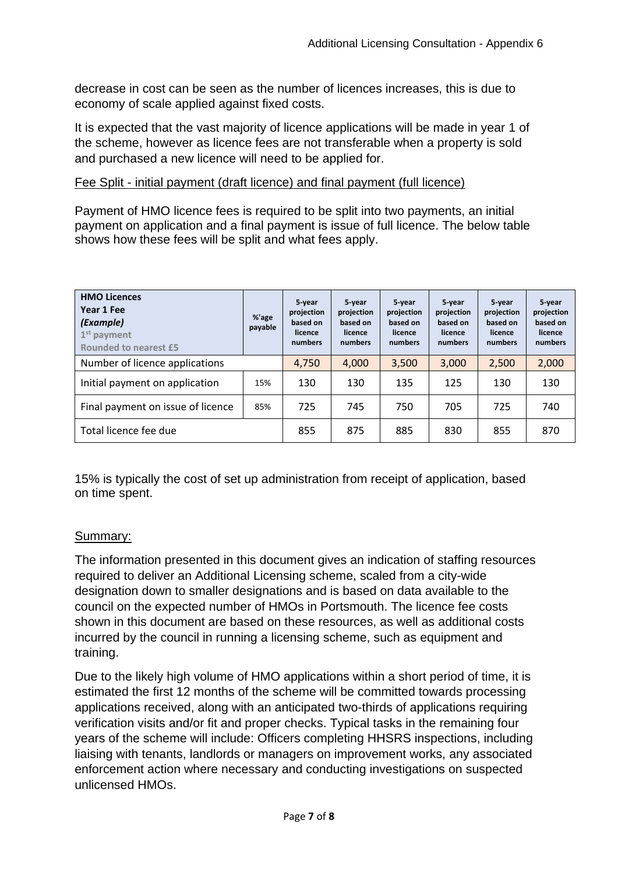decrease in cost can be seen as the number of licences increases, this is due to economy of scale applied against fixed costs.

It is expected that the vast majority of licence applications will be made in year 1 of the scheme, however as licence fees are not transferable when a property is sold and purchased a new licence will need to be applied for.

#### Fee Split - initial payment (draft licence) and final payment (full licence)

Payment of HMO licence fees is required to be split into two payments, an initial payment on application and a final payment is issue of full licence. The below table shows how these fees will be split and what fees apply.

| <b>HMO Licences</b><br>Year 1 Fee<br>(Example)<br>$1st$ payment<br><b>Rounded to nearest £5</b> | %'age<br>payable | 5 year<br>projection<br>based on<br>licence<br>numbers | 5-year<br>projection<br>based on<br>licence<br>numbers | 5-year<br>projection<br>based on<br>licence<br>numbers | 5-year<br>projection<br>based on<br>licence<br>numbers | 5-year<br>projection<br>based on<br>licence<br>numbers | 5-year<br>projection<br>based on<br>licence<br>numbers |
|-------------------------------------------------------------------------------------------------|------------------|--------------------------------------------------------|--------------------------------------------------------|--------------------------------------------------------|--------------------------------------------------------|--------------------------------------------------------|--------------------------------------------------------|
| Number of licence applications                                                                  |                  | 4,750                                                  | 4,000                                                  | 3,500                                                  | 3,000                                                  | 2,500                                                  | 2,000                                                  |
| Initial payment on application                                                                  | 15%              | 130                                                    | 130                                                    | 135                                                    | 125                                                    | 130                                                    | 130                                                    |
| Final payment on issue of licence                                                               | 85%              | 725                                                    | 745                                                    | 750                                                    | 705                                                    | 725                                                    | 740                                                    |
| Total licence fee due                                                                           |                  | 855                                                    | 875                                                    | 885                                                    | 830                                                    | 855                                                    | 870                                                    |

15% is typically the cost of set up administration from receipt of application, based on time spent.

## Summary:

The information presented in this document gives an indication of staffing resources required to deliver an Additional Licensing scheme, scaled from a city-wide designation down to smaller designations and is based on data available to the council on the expected number of HMOs in Portsmouth. The licence fee costs shown in this document are based on these resources, as well as additional costs incurred by the council in running a licensing scheme, such as equipment and training.

Due to the likely high volume of HMO applications within a short period of time, it is estimated the first 12 months of the scheme will be committed towards processing applications received, along with an anticipated two-thirds of applications requiring verification visits and/or fit and proper checks. Typical tasks in the remaining four years of the scheme will include: Officers completing HHSRS inspections, including liaising with tenants, landlords or managers on improvement works, any associated enforcement action where necessary and conducting investigations on suspected unlicensed HMOs.